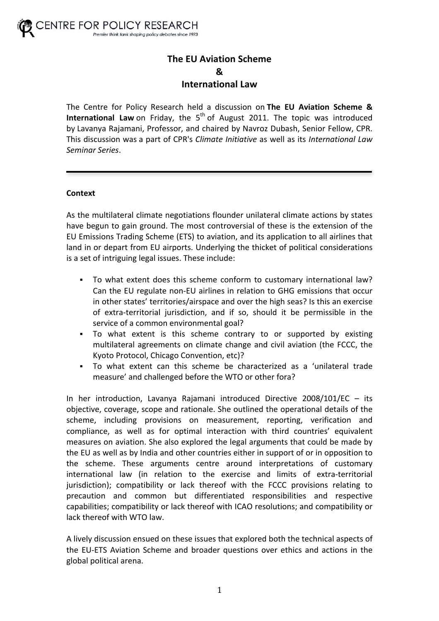# **The EU Aviation Scheme & International Law**

The Centre for Policy Research held a discussion on **The EU Aviation Scheme & International Law** on Friday, the 5<sup>th</sup> of August 2011. The topic was introduced by Lavanya Rajamani, Professor, and chaired by Navroz Dubash, Senior Fellow, CPR. This discussion was a part of CPR's *Climate Initiative* as well as its *International Law Seminar!Series*.

# **Context**

As the multilateral climate negotiations flounder unilateral climate actions by states have begun to gain ground. The most controversial of these is the extension of the EU Emissions Trading Scheme (ETS) to aviation, and its application to all airlines that land in or depart from EU airports. Underlying the thicket of political considerations is a set of intriguing legal issues. These include:

- To what extent does this scheme conform to customary international law? Can the EU regulate non-EU airlines in relation to GHG emissions that occur in other states' territories/airspace and over the high seas? Is this an exercise of extra-territorial jurisdiction, and if so, should it be permissible in the service of a common environmental goal?
- . To what extent is this scheme contrary to or supported by existing multilateral agreements on climate change and civil aviation (the FCCC, the Kyoto Protocol, Chicago Convention, etc)?
- To what extent can this scheme be characterized as a 'unilateral trade measure' and challenged before the WTO or other fora?

In her introduction, Lavanya Rajamani introduced Directive  $2008/101/EC -$  its objective, coverage, scope and rationale. She outlined the operational details of the scheme, including provisions on measurement, reporting, verification and compliance, as well as for optimal interaction with third countries' equivalent measures on aviation. She also explored the legal arguments that could be made by the EU as well as by India and other countries either in support of or in opposition to the scheme. These arguments centre around interpretations of customary international law (in relation to the exercise and limits of extra-territorial jurisdiction); compatibility or lack thereof with the FCCC provisions relating to precaution and common but differentiated responsibilities and respective capabilities; compatibility or lack thereof with ICAO resolutions; and compatibility or lack thereof with WTO law.

A lively discussion ensued on these issues that explored both the technical aspects of the EU-ETS Aviation Scheme and broader questions over ethics and actions in the global political arena.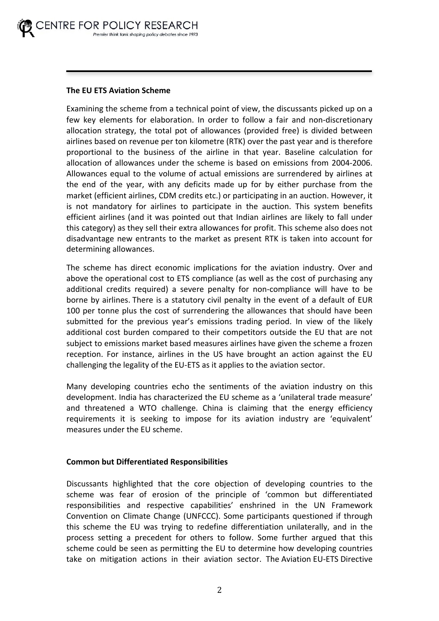# **The EU ETS Aviation Scheme**

Examining the scheme from a technical point of view, the discussants picked up on a few key elements for elaboration. In order to follow a fair and non-discretionary allocation strategy, the total pot of allowances (provided free) is divided between airlines based on revenue per ton kilometre (RTK) over the past year and is therefore proportional to the business of the airline in that year. Baseline calculation for allocation of allowances under the scheme is based on emissions from 2004-2006. Allowances equal to the volume of actual emissions are surrendered by airlines at the end of the year, with any deficits made up for by either purchase from the market (efficient airlines, CDM credits etc.) or participating in an auction. However, it is not mandatory for airlines to participate in the auction. This system benefits efficient airlines (and it was pointed out that Indian airlines are likely to fall under this category) as they sell their extra allowances for profit. This scheme also does not disadvantage new entrants to the market as present RTK is taken into account for determining allowances.

The scheme has direct economic implications for the aviation industry. Over and above the operational cost to ETS compliance (as well as the cost of purchasing any additional credits required) a severe penalty for non-compliance will have to be borne by airlines. There is a statutory civil penalty in the event of a default of EUR 100 per tonne plus the cost of surrendering the allowances that should have been submitted for the previous year's emissions trading period. In view of the likely additional cost burden compared to their competitors outside the EU that are not subject to emissions market based measures airlines have given the scheme a frozen reception. For instance, airlines in the US have brought an action against the EU challenging the legality of the EU-ETS as it applies to the aviation sector.

Many developing countries echo the sentiments of the aviation industry on this development. India has characterized the EU scheme as a 'unilateral trade measure' and threatened a WTO challenge. China is claiming that the energy efficiency requirements it is seeking to impose for its aviation industry are 'equivalent' measures under the EU scheme.

# **Common but Differentiated Responsibilities**

Discussants highlighted that the core objection of developing countries to the scheme was fear of erosion of the principle of 'common but differentiated responsibilities and respective capabilities' enshrined in the UN Framework Convention on Climate Change (UNFCCC). Some participants questioned if through this scheme the EU was trying to redefine differentiation unilaterally, and in the process setting a precedent for others to follow. Some further argued that this scheme could be seen as permitting the EU to determine how developing countries take on mitigation actions in their aviation sector. The Aviation EU-ETS Directive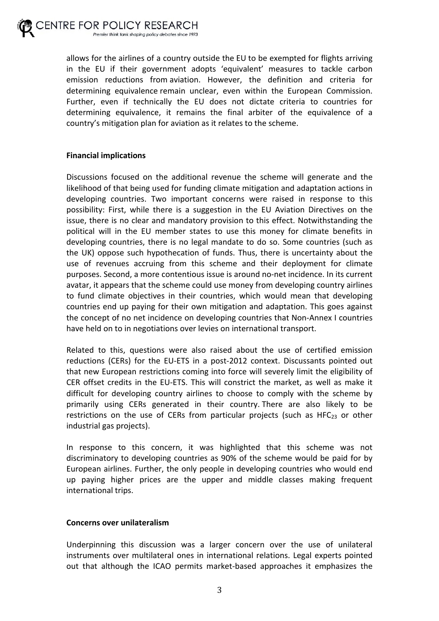allows for the airlines of a country outside the EU to be exempted for flights arriving in the EU if their government adopts 'equivalent' measures to tackle carbon emission reductions from aviation. However, the definition and criteria for determining equivalence remain unclear, even within the European Commission. Further, even if technically the EU does not dictate criteria to countries for determining equivalence, it remains the final arbiter of the equivalence of a country's mitigation plan for aviation as it relates to the scheme.

# **Financial implications**

Discussions focused on the additional revenue the scheme will generate and the likelihood of that being used for funding climate mitigation and adaptation actions in developing countries. Two important concerns were raised in response to this possibility: First, while there is a suggestion in the EU Aviation Directives on the issue, there is no clear and mandatory provision to this effect. Notwithstanding the political will in the EU member states to use this money for climate benefits in developing countries, there is no legal mandate to do so. Some countries (such as the UK) oppose such hypothecation of funds. Thus, there is uncertainty about the use of revenues accruing from this scheme and their deployment for climate purposes. Second, a more contentious issue is around no-net incidence. In its current avatar, it appears that the scheme could use money from developing country airlines to fund climate objectives in their countries, which would mean that developing countries end up paying for their own mitigation and adaptation. This goes against the concept of no net incidence on developing countries that Non-Annex I countries have held on to in negotiations over levies on international transport.

Related to this, questions were also raised about the use of certified emission reductions (CERs) for the EU-ETS in a post-2012 context. Discussants pointed out that new European restrictions coming into force will severely limit the eligibility of CER offset credits in the EU-ETS. This will constrict the market, as well as make it difficult for developing country airlines to choose to comply with the scheme by primarily using CERs generated in their country. There are also likely to be restrictions on the use of CERs from particular projects (such as HFC $_{23}$  or other industrial gas projects).

In response to this concern, it was highlighted that this scheme was not discriminatory to developing countries as 90% of the scheme would be paid for by European airlines. Further, the only people in developing countries who would end up paying higher prices are the upper and middle classes making frequent international trips.

# **Concerns over unilateralism**

Underpinning this discussion was a larger concern over the use of unilateral instruments over multilateral ones in international relations. Legal experts pointed out that although the ICAO permits market-based approaches it emphasizes the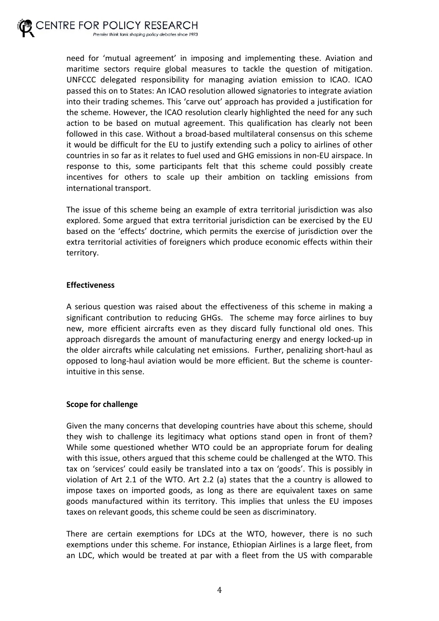

need for 'mutual agreement' in imposing and implementing these. Aviation and maritime sectors require global measures to tackle the question of mitigation. UNFCCC delegated responsibility for managing aviation emission to ICAO. ICAO passed this on to States: An ICAO resolution allowed signatories to integrate aviation into their trading schemes. This 'carve out' approach has provided a justification for the scheme. However, the ICAO resolution clearly highlighted the need for any such action to be based on mutual agreement. This qualification has clearly not been followed in this case. Without a broad-based multilateral consensus on this scheme it would be difficult for the EU to justify extending such a policy to airlines of other countries in so far as it relates to fuel used and GHG emissions in non-EU airspace. In response to this, some participants felt that this scheme could possibly create incentives for others to scale up their ambition on tackling emissions from international transport.

The issue of this scheme being an example of extra territorial jurisdiction was also explored. Some argued that extra territorial jurisdiction can be exercised by the EU based on the 'effects' doctrine, which permits the exercise of jurisdiction over the extra territorial activities of foreigners which produce economic effects within their territory.

#### **Effectiveness**

A serious question was raised about the effectiveness of this scheme in making a significant contribution to reducing GHGs. The scheme may force airlines to buy new, more efficient aircrafts even as they discard fully functional old ones. This approach disregards the amount of manufacturing energy and energy locked-up in the older aircrafts while calculating net emissions. Further, penalizing short-haul as opposed to long-haul aviation would be more efficient. But the scheme is counterintuitive in this sense.

#### **Scope for challenge**

Given the many concerns that developing countries have about this scheme, should they wish to challenge its legitimacy what options stand open in front of them? While some questioned whether WTO could be an appropriate forum for dealing with this issue, others argued that this scheme could be challenged at the WTO. This tax on 'services' could easily be translated into a tax on 'goods'. This is possibly in violation of Art 2.1 of the WTO. Art 2.2 (a) states that the a country is allowed to impose taxes on imported goods, as long as there are equivalent taxes on same goods manufactured within its territory. This implies that unless the EU imposes taxes on relevant goods, this scheme could be seen as discriminatory.

There are certain exemptions for LDCs at the WTO, however, there is no such exemptions under this scheme. For instance, Ethiopian Airlines is a large fleet, from an LDC, which would be treated at par with a fleet from the US with comparable